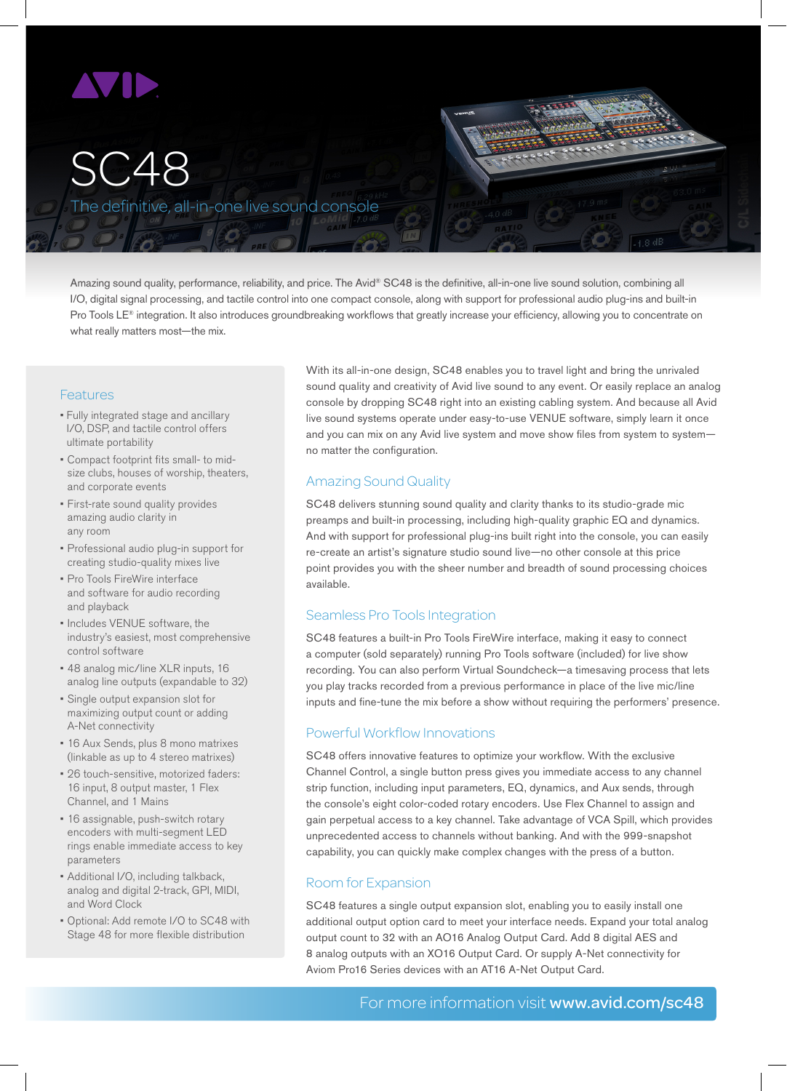

# SC48

The definitive, all-in-one live sound console

Amazing sound quality, performance, reliability, and price. The Avid® SC48 is the definitive, all-in-one live sound solution, combining all I/O, digital signal processing, and tactile control into one compact console, along with support for professional audio plug-ins and built-in Pro Tools LE<sup>®</sup> integration. It also introduces groundbreaking workflows that greatly increase your efficiency, allowing you to concentrate on what really matters most—the mix.

# Features

- Fully integrated stage and ancillary I/O, DSP, and tactile control offers ultimate portability
- Compact footprint fits small- to midsize clubs, houses of worship, theaters, and corporate events
- First-rate sound quality provides amazing audio clarity in any room
- Professional audio plug-in support for creating studio-quality mixes live
- Pro Tools FireWire interface and software for audio recording and playback
- Includes VENUE software, the industry's easiest, most comprehensive control software
- 48 analog mic/line XLR inputs, 16 analog line outputs (expandable to 32)
- Single output expansion slot for maximizing output count or adding A-Net connectivity
- 16 Aux Sends, plus 8 mono matrixes (linkable as up to 4 stereo matrixes)
- 26 touch-sensitive, motorized faders: 16 input, 8 output master, 1 Flex Channel, and 1 Mains
- 16 assignable, push-switch rotary encoders with multi-segment LED rings enable immediate access to key parameters
- Additional I/O, including talkback, analog and digital 2-track, GPI, MIDI, and Word Clock
- Optional: Add remote I/O to SC48 with Stage 48 for more flexible distribution

With its all-in-one design, SC48 enables you to travel light and bring the unrivaled sound quality and creativity of Avid live sound to any event. Or easily replace an analog console by dropping SC48 right into an existing cabling system. And because all Avid live sound systems operate under easy-to-use VENUE software, simply learn it once and you can mix on any Avid live system and move show files from system to systemno matter the configuration.

# Amazing Sound Quality

SC48 delivers stunning sound quality and clarity thanks to its studio-grade mic preamps and built-in processing, including high-quality graphic EQ and dynamics. And with support for professional plug-ins built right into the console, you can easily re-create an artist's signature studio sound live—no other console at this price point provides you with the sheer number and breadth of sound processing choices available.

# Seamless Pro Tools Integration

SC48 features a built-in Pro Tools FireWire interface, making it easy to connect a computer (sold separately) running Pro Tools software (included) for live show recording. You can also perform Virtual Soundcheck—a timesaving process that lets you play tracks recorded from a previous performance in place of the live mic/line inputs and fine-tune the mix before a show without requiring the performers' presence.

#### Powerful Workflow Innovations

SC48 offers innovative features to optimize your workflow. With the exclusive Channel Control, a single button press gives you immediate access to any channel strip function, including input parameters, EQ, dynamics, and Aux sends, through the console's eight color-coded rotary encoders. Use Flex Channel to assign and gain perpetual access to a key channel. Take advantage of VCA Spill, which provides unprecedented access to channels without banking. And with the 999-snapshot capability, you can quickly make complex changes with the press of a button.

# Room for Expansion

SC48 features a single output expansion slot, enabling you to easily install one additional output option card to meet your interface needs. Expand your total analog output count to 32 with an AO16 Analog Output Card. Add 8 digital AES and 8 analog outputs with an XO16 Output Card. Or supply A-Net connectivity for Aviom Pro16 Series devices with an AT16 A-Net Output Card.